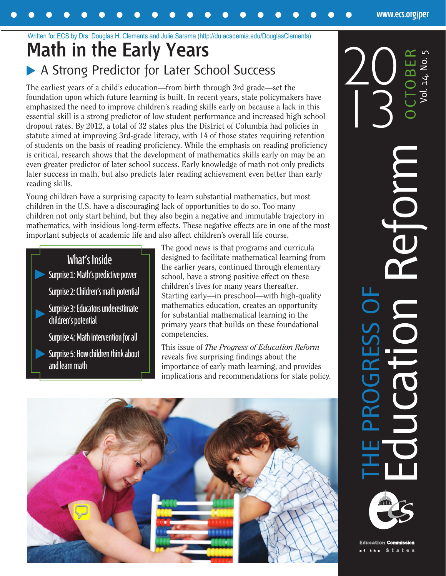## **Math in the Early Years** Written for ECS by Drs. Douglas H. Clements and Julie Sarama (http://du.academia.edu/DouglasClements)

# A Strong Predictor for Later School Success

The earliest years of a child's education—from birth through 3rd grade—set the foundation upon which future learning is built. In recent years, state policymakers have emphasized the need to improve children's reading skills early on because a lack in this essential skill is a strong predictor of low student performance and increased high school dropout rates. By 2012, a total of 32 states plus the District of Columbia had policies in statute aimed at improving 3rd-grade literacy, with 14 of those states requiring retention of students on the basis of reading proficiency. While the emphasis on reading proficiency is critical, research shows that the development of mathematics skills early on may be an even greater predictor of later school success. Early knowledge of math not only predicts later success in math, but also predicts later reading achievement even better than early reading skills.

Young children have a surprising capacity to learn substantial mathematics, but most children in the U.S. have a discouraging lack of opportunities to do so. Too many children not only start behind, but they also begin a negative and immutable trajectory in mathematics, with insidious long-term effects. These negative effects are in one of the most important subjects of academic life and also affect children's overall life course.



The good news is that programs and curricula designed to facilitate mathematical learning from the earlier years, continued through elementary school, have a strong positive effect on these children's lives for many years thereafter. Starting early—in preschool—with high-quality mathematics education, creates an opportunity for substantial mathematical learning in the primary years that builds on these foundational competencies.

This issue of *The Progress of Education Reform*  reveals five surprising findings about the importance of early math learning, and provides implications and recommendations for state policy.



OCTOBER Education Reform <sub>ocrober</sub> 13 COL THE PROGRESS OF

**[www.ecs.org/per](http://www.ecs.org/per)**



**Education Commission**  $s<sub>t</sub>$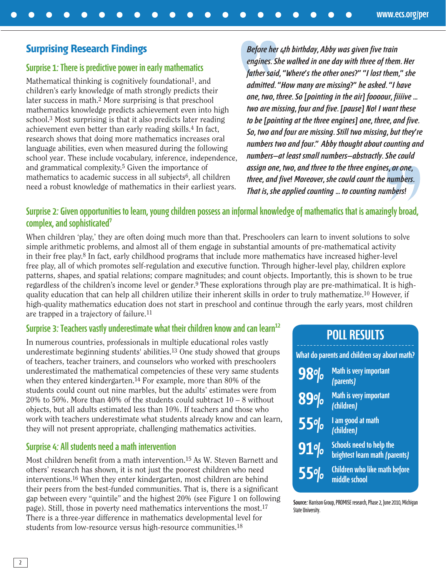#### **Surprising Research Findings**

#### **Surprise 1: There is predictive power in early mathematics**

Mathematical thinking is cognitively foundational<sup>1</sup>, and children's early knowledge of math strongly predicts their later success in math.2 More surprising is that preschool mathematics knowledge predicts achievement even into high school.3 Most surprising is that it also predicts later reading achievement even better than early reading skills.4 In fact, research shows that doing more mathematics increases oral language abilities, even when measured during the following school year. These include vocabulary, inference, independence, and grammatical complexity.5 Given the importance of mathematics to academic success in all subjects<sup>6</sup>, all children need a robust knowledge of mathematics in their earliest years.

**Before her 4th birthday, Abby was given five train engines. She walked in one day with three of them. Her father said, "Where's the other ones?" "I lost them," she admitted. "How many are missing?" he asked. "I have one, two, three. So [pointing in the air] foooour, fiiiive ... two are missing, four and five. [pause] No! I want these to be [pointing at the three engines] one, three, and five. So, two and four are missing. Still two missing, but they're numbers two and four." Abby thought about counting and numbers—at least small numbers—abstractly. She could assign one, two, and three to the three engines, or one, three, and five! Moreover, she could count the numbers. That is, she applied counting ... to counting numbers!**

#### **Surprise 2: Given opportunities to learn, young children possess an informal knowledge of mathematics that is amazingly broad, complex, and sophisticated7**

When children 'play,' they are often doing much more than that. Preschoolers can learn to invent solutions to solve simple arithmetic problems, and almost all of them engage in substantial amounts of pre-mathematical activity in their free play.8 In fact, early childhood programs that include more mathematics have increased higher-level free play, all of which promotes self-regulation and executive function. Through higher-level play, children explore patterns, shapes, and spatial relations; compare magnitudes; and count objects. Importantly, this is shown to be true regardless of the children's income level or gender.9 These explorations through play are pre-mathimatical. It is highquality education that can help all children utilize their inherent skills in order to truly mathematize.10 However, if high-quality mathematics education does not start in preschool and continue through the early years, most children are trapped in a trajectory of failure.11

#### **Surprise 3: Teachers vastly underestimate what their children know and can learn<sup>12</sup>**

In numerous countries, professionals in multiple educational roles vastly underestimate beginning students' abilities.13 One study showed that groups of teachers, teacher trainers, and counselors who worked with preschoolers underestimated the mathematical competencies of these very same students when they entered kindergarten.14 For example, more than 80% of the students could count out nine marbles, but the adults' estimates were from 20% to 50%. More than 40% of the students could subtract  $10 - 8$  without objects, but all adults estimated less than 10%. If teachers and those who work with teachers underestimate what students already know and can learn, they will not present appropriate, challenging mathematics activities.

#### **Surprise 4: All students need a math intervention**

Most children benefit from a math intervention.15 As W. Steven Barnett and others' research has shown, it is not just the poorest children who need interventions.16 When they enter kindergarten, most children are behind their peers from the best-funded communities. That is, there is a significant gap between every "quintile" and the highest 20% (see Figure 1 on following page). Still, those in poverty need mathematics interventions the most.17 There is a three-year difference in mathematics developmental level for students from low-resource versus high-resource communities.18

## **POLL RESULTS**

**What do parents and children say about math?**

**98%**

**Math is very important (parents)**

**Math is very important (children) 89%**

**I am good at math (children) 55%**



**55%**

**Schools need to help the brightest learn math (parents)**

**Children who like math before middle school**

**Source:** Harrison Group, PROMISE research, Phase 2, June 2010, Michigan State University.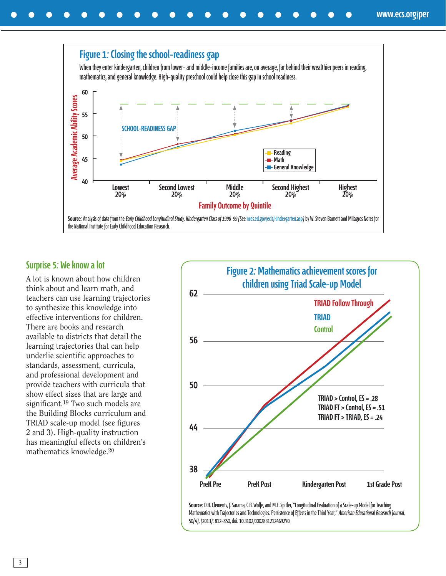#### **Figure 1: Closing the school-readiness gap**

When they enter kindergarten, children from lower- and middle-income families are, on average, far behind their wealthier peers in reading, mathematics, and general knowledge. High-quality preschool could help close this gap in school readiness.



#### **Surprise 5: We know a lot**

A lot is known about how children think about and learn math, and teachers can use learning trajectories to synthesize this knowledge into effective interventions for children. There are books and research available to districts that detail the learning trajectories that can help underlie scientific approaches to standards, assessment, curricula, and professional development and provide teachers with curricula that show effect sizes that are large and significant.19 Two such models are the Building Blocks curriculum and TRIAD scale-up model (see figures 2 and 3). High-quality instruction has meaningful effects on children's mathematics knowledge.20



**Source:** D.H. Clements, J. Sarama, C.B. Wolfe, and M.E. Spitler, "Longitudinal Evaluation of a Scale-up Model for Teaching Mathematics with Trajectories and Technologies: Persistence of Effects in the Third Year," American Educational Research Journal, 50(4), (2013): 812-850, doi: 10.3102/0002831212469270.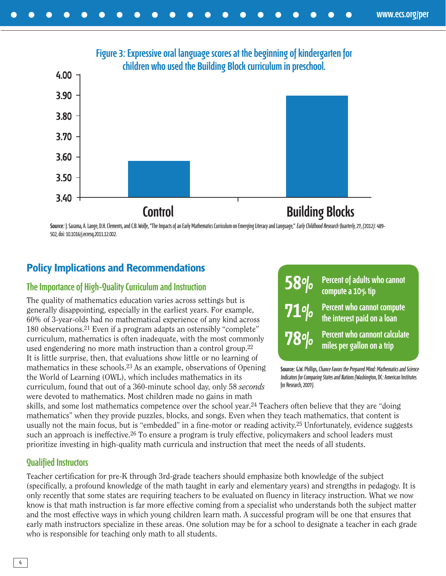

**Source:** J. Sarama, A. Lange, D.H. Clements, and C.B. Wolfe, "The Impacts of an Early Mathematics Curriculum on Emerging Literacy and Language," Early Childhood Research Quarterly, 27, (2012): 489- 502, doi: 10.1016/j.ecresq.2011.12.002.

#### **Policy Implications and Recommendations**

#### **The Importance of High-Quality Curriculum and Instruction**

The quality of mathematics education varies across settings but is generally disappointing, especially in the earliest years. For example, 60% of 3-year-olds had no mathematical experience of any kind across 180 observations.21 Even if a program adapts an ostensibly "complete" curriculum, mathematics is often inadequate, with the most commonly used engendering no more math instruction than a control group.22 It is little surprise, then, that evaluations show little or no learning of mathematics in these schools.23 As an example, observations of Opening the World of Learning (OWL), which includes mathematics in its curriculum, found that out of a 360-minute school day, only 58 *seconds* were devoted to mathematics. Most children made no gains in math



**Source:** G.W. Phillips, Chance Favors the Prepared Mind: Mathematics and Science Indicators for Comparing States and Nations (Washington, DC: American Institutes for Research, 2007).

skills, and some lost mathematics competence over the school year.24 Teachers often believe that they are "doing mathematics" when they provide puzzles, blocks, and songs. Even when they teach mathematics, that content is usually not the main focus, but is "embedded" in a fine-motor or reading activity.25 Unfortunately, evidence suggests such an approach is ineffective.26 To ensure a program is truly effective, policymakers and school leaders must prioritize investing in high-quality math curricula and instruction that meet the needs of all students.

#### **Qualified Instructors**

Teacher certification for pre-K through 3rd-grade teachers should emphasize both knowledge of the subject (specifically, a profound knowledge of the math taught in early and elementary years) and strengths in pedagogy. It is only recently that some states are requiring teachers to be evaluated on fluency in literacy instruction. What we now know is that math instruction is far more effective coming from a specialist who understands both the subject matter and the most effective ways in which young children learn math. A successful program will be one that ensures that early math instructors specialize in these areas. One solution may be for a school to designate a teacher in each grade who is responsible for teaching only math to all students.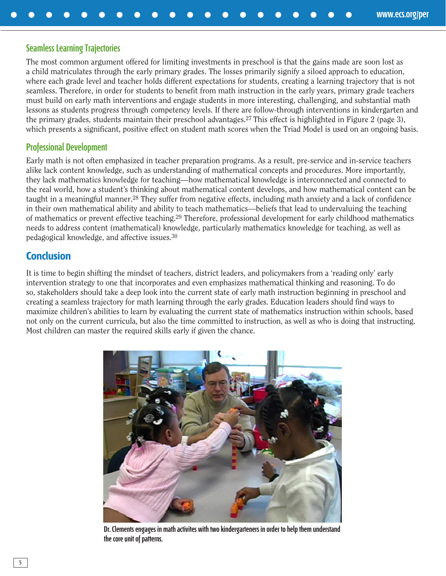#### **Seamless Learning Trajectories**

The most common argument offered for limiting investments in preschool is that the gains made are soon lost as a child matriculates through the early primary grades. The losses primarily signify a siloed approach to education, where each grade level and teacher holds different expectations for students, creating a learning trajectory that is not seamless. Therefore, in order for students to benefit from math instruction in the early years, primary grade teachers must build on early math interventions and engage students in more interesting, challenging, and substantial math lessons as students progress through competency levels. If there are follow-through interventions in kindergarten and the primary grades, students maintain their preschool advantages.27 This effect is highlighted in Figure 2 (page 3), which presents a significant, positive effect on student math scores when the Triad Model is used on an ongoing basis.

#### **Professional Development**

Early math is not often emphasized in teacher preparation programs. As a result, pre-service and in-service teachers alike lack content knowledge, such as understanding of mathematical concepts and procedures. More importantly, they lack mathematics knowledge for teaching—how mathematical knowledge is interconnected and connected to the real world, how a student's thinking about mathematical content develops, and how mathematical content can be taught in a meaningful manner.28 They suffer from negative effects, including math anxiety and a lack of confidence in their own mathematical ability and ability to teach mathematics—beliefs that lead to undervaluing the teaching of mathematics or prevent effective teaching.29 Therefore, professional development for early childhood mathematics needs to address content (mathematical) knowledge, particularly mathematics knowledge for teaching, as well as pedagogical knowledge, and affective issues.30

#### **Conclusion**

It is time to begin shifting the mindset of teachers, district leaders, and policymakers from a 'reading only' early intervention strategy to one that incorporates and even emphasizes mathematical thinking and reasoning. To do so, stakeholders should take a deep look into the current state of early math instruction beginning in preschool and creating a seamless trajectory for math learning through the early grades. Education leaders should find ways to maximize children's abilities to learn by evaluating the current state of mathematics instruction within schools, based not only on the current curricula, but also the time committed to instruction, as well as who is doing that instructing. Most children can master the required skills early if given the chance.



**Dr. Clements engages in math activites with two kindergarteners in order to help them understand the core unit of patterns.**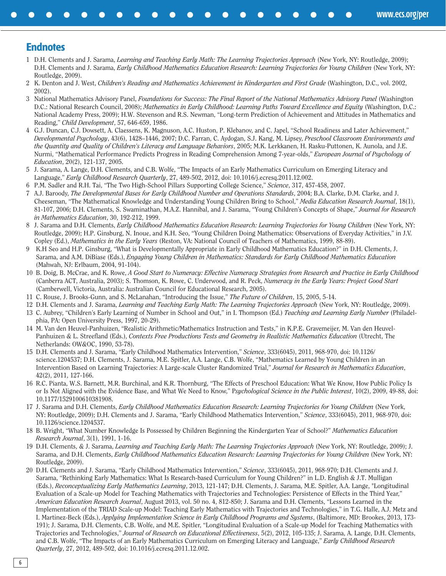#### **Endnotes**

1 D.H. Clements and J. Sarama, *Learning and Teaching Early Math: The Learning Trajectories Approach* (New York, NY: Routledge, 2009); D.H. Clements and J. Sarama, *Early Childhood Mathematics Education Research: Learning Trajectories for Young Children* (New York, NY: Routledge, 2009).

**[www.ecs.org/per](http://www.ecs.org/per)**

- 2 K. Denton and J. West, *Children's Reading and Mathematics Achievement in Kindergarten and First Grade* (Washington, D.C., vol. 2002, 2002).
- 3 National Mathematics Advisory Panel, *Foundations for Success: The Final Report of the National Mathematics Advisory Panel* (Washington D.C.: National Research Council, 2008); *Mathematics in Early Childhood: Learning Paths Toward Excellence and Equity* (Washington, D.C.: National Academy Press, 2009); H.W. Stevenson and R.S. Newman, "Long-term Prediction of Achievement and Attitudes in Mathematics and Reading," *Child Development*, 57, 646-659, 1986.
- 4 G.J. Duncan, C.J. Dowsett, A. Claessens, K. Magnuson, A.C. Huston, P. Klebanov, and C. Japel, "School Readiness and Later Achievement," *Developmental Psychology*, 43(6), 1428–1446, 2007; D.C. Farran, C. Aydogan, S.J. Kang, M. Lipsey, *Preschool Classroom Environments and the Quantity and Quality of Children's Literacy and Language Behaviors*, 2005; M.K. Lerkkanen, H. Rasku-Puttonen, K. Aunola, and J.E. Nurmi, "Mathematical Performance Predicts Progress in Reading Comprehension Among 7-year-olds," *European Journal of Psychology of Education*, 20(2), 121-137, 2005.
- 5 J. Sarama, A. Lange, D.H. Clements, and C.B. Wolfe, "The Impacts of an Early Mathematics Curriculum on Emerging Literacy and Language," *Early Childhood Research Quarterly*, 27, 489-502, 2012, doi: 10.1016/j.ecresq.2011.12.002.
- 6 P.M. Sadler and R.H. Tai, "The Two High-School Pillars Supporting College Science," *Science*, 317, 457-458, 2007.
- 7 A.J. Baroody, *The Developmental Bases for Early Childhood Number and Operations Standards*, 2004; B.A. Clarke, D.M. Clarke, and J. Cheeseman, "The Mathematical Knowledge and Understanding Young Children Bring to School," *Media Education Research Journal*, 18(1), 81-107, 2006; D.H. Clements, S. Swaminathan, M.A.Z. Hannibal, and J. Sarama, "Young Children's Concepts of Shape," *Journal for Research in Mathematics Education*, 30, 192-212, 1999.
- 8 J. Sarama and D.H. Clements, *Early Childhood Mathematics Education Research: Learning Trajectories for Young Children* (New York, NY: Routledge, 2009); H.P. Ginsburg, N. Inoue, and K.H. Seo, "Young Children Doing Mathematics: Observations of Everyday Activities," in J.V. Copley (Ed.), *Mathematics in the Early Years* (Reston, VA: National Council of Teachers of Mathematics, 1999, 88-89).
- 9 K.H Seo and H.P. Ginsburg, "What is Developmentally Appropriate in Early Childhood Mathematics Education?" in D.H. Clements, J. Sarama, and A.M. DiBiase (Eds.), *Engaging Young Children in Mathematics: Standards for Early Childhood Mathematics Education* (Mahwah, NJ: Erlbaum, 2004, 91-104).
- 10 B. Doig, B. McCrae, and K. Rowe, *A Good Start to Numeracy: Effective Numeracy Strategies from Research and Practice in Early Childhood* (Canberra ACT, Australia, 2003); S. Thomson, K. Rowe, C. Underwood, and R. Peck, *Numeracy in the Early Years: Project Good Start* (Camberwell, Victoria, Australia: Australian Council for Educational Research, 2005).
- 11 C. Rouse, J. Brooks-Gunn, and S. McLanahan, "Introducing the Issue," *The Future of Children*, 15, 2005, 5-14.
- 12 D.H. Clements and J. Sarama, *Learning and Teaching Early Math: The Learning Trajectories Approach* (New York, NY: Routledge, 2009).
- 13 C. Aubrey, "Children's Early Learning of Number in School and Out," in I. Thompson (Ed.) *Teaching and Learning Early Number* (Philadelphia, PA: Open University Press, 1997, 20-29).
- 14 M. Van den Heuvel-Panhuizen, "Realistic Arithmetic/Mathematics Instruction and Tests," in K.P.E. Gravemeijer, M. Van den Heuvel-Panhuizen & L. Streefland (Eds.), *Contexts Free Productions Tests and Geometry in Realistic Mathematics Education* (Utrecht, The Netherlands: OW&OC, 1990, 53-78).
- 15 D.H. Clements and J. Sarama, "Early Childhood Mathematics Intervention," *Science*, 333(6045), 2011, 968-970, doi: 10.1126/ science.1204537; D.H. Clements, J. Sarama, M.E. Spitler, A.A. Lange, C.B. Wolfe, "Mathematics Learned by Young Children in an Intervention Based on Learning Trajectories: A Large-scale Cluster Randomized Trial," *Journal for Research in Mathematics Education*, 42(2), 2011, 127-166.
- 16 R.C. Pianta, W.S. Barnett, M.R. Burchinal, and K.R. Thornburg, "The Effects of Preschool Education: What We Know, How Public Policy Is or Is Not Aligned with the Evidence Base, and What We Need to Know," P*sychological Science in the Public Interest*, 10(2), 2009, 49-88, doi: 10.1177/1529100610381908.
- 17 J. Sarama and D.H. Clements, *Early Childhood Mathematics Education Research: Learning Trajectories for Young Children* (New York, NY: Routledge, 2009); D.H. Clements and J. Sarama, "Early Childhood Mathematics Intervention," *Science*, 333(6045), 2011, 968-970, doi: 10.1126/science.1204537.
- 18 B. Wright, "What Number Knowledge Is Possessed by Children Beginning the Kindergarten Year of School?" *Mathematics Education Research Journal*, 3(1), 1991, 1-16.
- 19 D.H. Clements, & J. Sarama, *Learning and Teaching Early Math: The Learning Trajectories Approach* (New York, NY: Routledge, 2009); J. Sarama, and D.H. Clements, *Early Childhood Mathematics Education Research: Learning Trajectories for Young Children* (New York, NY: Routledge, 2009).
- 20 D.H. Clements and J. Sarama, "Early Childhood Mathematics Intervention," *Science*, 333(6045), 2011, 968-970; D.H. Clements and J. Sarama, "Rethinking Early Mathematics: What Is Research-based Curriculum for Young Children?" in L.D. English & J.T. Mulligan (Eds.), *Reconceptualizing Early Mathematics Learning*, 2013, 121-147; D.H. Clements, J. Sarama, M.E. Spitler, A.A. Lange, "Longitudinal Evaluation of a Scale-up Model for Teaching Mathematics with Trajectories and Technologies: Persistence of Effects in the Third Year," *American Education Research Journal*, August 2013, vol. 50 no. 4, 812-850; J. Sarama and D.H. Clements, "Lessons Learned in the Implementation of the TRIAD Scale-up Model: Teaching Early Mathematics with Trajectories and Technologies," in T.G. Halle, A.J. Metz and I. Martinez-Beck (Eds.), *Applying Implementation Science in Early Childhood Programs and Systems*, (Baltimore, MD: Brookes, 2013, 173- 191); J. Sarama, D.H. Clements, C.B. Wolfe, and M.E. Spitler, "Longitudinal Evaluation of a Scale-up Model for Teaching Mathematics with Trajectories and Technologies," *Journal of Research on Educational Effectiveness*, 5(2), 2012, 105-135; J. Sarama, A. Lange, D.H. Clements, and C.B. Wolfe, "The Impacts of an Early Mathematics Curriculum on Emerging Literacy and Language," *Early Childhood Research Quarterly*, 27, 2012, 489-502, doi: 10.1016/j.ecresq.2011.12.002.